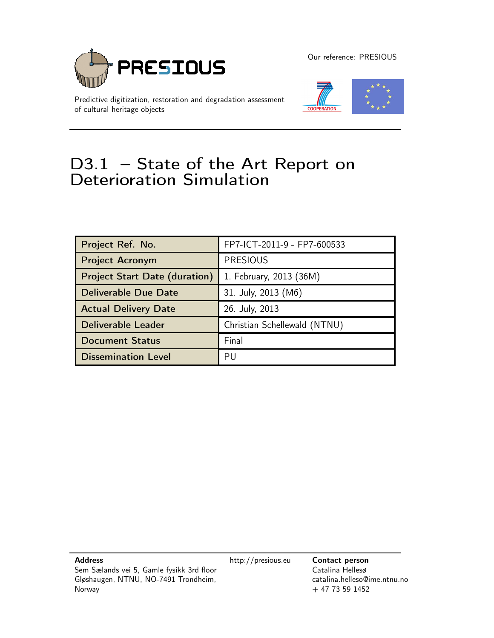

Predictive digitization, restoration and degradation assessment of cultural heritage objects

Our reference: PRESIOUS



# D3.1 – State of the Art Report on Deterioration Simulation

| Project Ref. No.                     | FP7-ICT-2011-9 - FP7-600533  |
|--------------------------------------|------------------------------|
| <b>Project Acronym</b>               | <b>PRESIOUS</b>              |
| <b>Project Start Date (duration)</b> | 1. February, 2013 (36M)      |
| <b>Deliverable Due Date</b>          | 31. July, 2013 (M6)          |
| <b>Actual Delivery Date</b>          | 26. July, 2013               |
| <b>Deliverable Leader</b>            | Christian Schellewald (NTNU) |
| <b>Document Status</b>               | Final                        |
| <b>Dissemination Level</b>           | PU                           |

Norway

Gløshaugen, NTNU, NO-7491 Trondheim,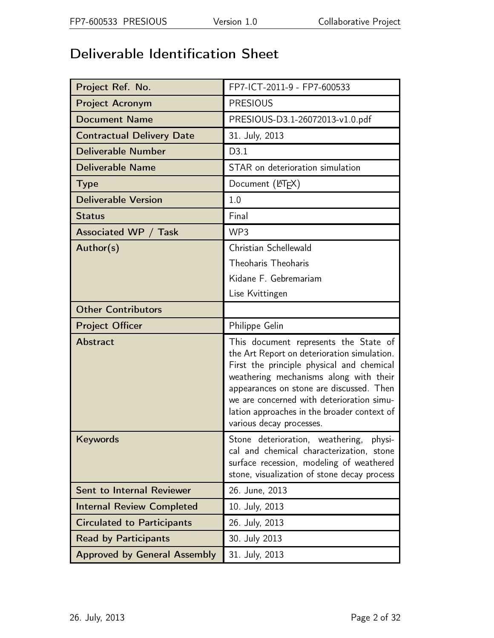# Deliverable Identification Sheet

| Project Ref. No.                    | FP7-ICT-2011-9 - FP7-600533                                                                                                                                                                                                                                                                                                                     |  |  |
|-------------------------------------|-------------------------------------------------------------------------------------------------------------------------------------------------------------------------------------------------------------------------------------------------------------------------------------------------------------------------------------------------|--|--|
| <b>Project Acronym</b>              | <b>PRESIOUS</b>                                                                                                                                                                                                                                                                                                                                 |  |  |
| <b>Document Name</b>                | PRESIOUS-D3.1-26072013-v1.0.pdf                                                                                                                                                                                                                                                                                                                 |  |  |
| <b>Contractual Delivery Date</b>    | 31. July, 2013                                                                                                                                                                                                                                                                                                                                  |  |  |
| <b>Deliverable Number</b>           | D3.1                                                                                                                                                                                                                                                                                                                                            |  |  |
| <b>Deliverable Name</b>             | STAR on deterioration simulation                                                                                                                                                                                                                                                                                                                |  |  |
| <b>Type</b>                         | Document (LAT <sub>E</sub> X)                                                                                                                                                                                                                                                                                                                   |  |  |
| <b>Deliverable Version</b>          | 1.0                                                                                                                                                                                                                                                                                                                                             |  |  |
| <b>Status</b>                       | Final                                                                                                                                                                                                                                                                                                                                           |  |  |
| Associated WP / Task                | WP3                                                                                                                                                                                                                                                                                                                                             |  |  |
| Author(s)                           | Christian Schellewald                                                                                                                                                                                                                                                                                                                           |  |  |
|                                     | Theoharis Theoharis                                                                                                                                                                                                                                                                                                                             |  |  |
|                                     | Kidane F. Gebremariam                                                                                                                                                                                                                                                                                                                           |  |  |
|                                     | Lise Kvittingen                                                                                                                                                                                                                                                                                                                                 |  |  |
| <b>Other Contributors</b>           |                                                                                                                                                                                                                                                                                                                                                 |  |  |
| <b>Project Officer</b>              | Philippe Gelin                                                                                                                                                                                                                                                                                                                                  |  |  |
| <b>Abstract</b>                     | This document represents the State of<br>the Art Report on deterioration simulation.<br>First the principle physical and chemical<br>weathering mechanisms along with their<br>appearances on stone are discussed. Then<br>we are concerned with deterioration simu-<br>lation approaches in the broader context of<br>various decay processes. |  |  |
| Keywords                            | Stone deterioration, weathering,<br>physi-<br>cal and chemical characterization, stone<br>surface recession, modeling of weathered<br>stone, visualization of stone decay process                                                                                                                                                               |  |  |
| Sent to Internal Reviewer           | 26. June, 2013                                                                                                                                                                                                                                                                                                                                  |  |  |
| <b>Internal Review Completed</b>    | 10. July, 2013                                                                                                                                                                                                                                                                                                                                  |  |  |
| <b>Circulated to Participants</b>   | 26. July, 2013                                                                                                                                                                                                                                                                                                                                  |  |  |
| <b>Read by Participants</b>         | 30. July 2013                                                                                                                                                                                                                                                                                                                                   |  |  |
| <b>Approved by General Assembly</b> |                                                                                                                                                                                                                                                                                                                                                 |  |  |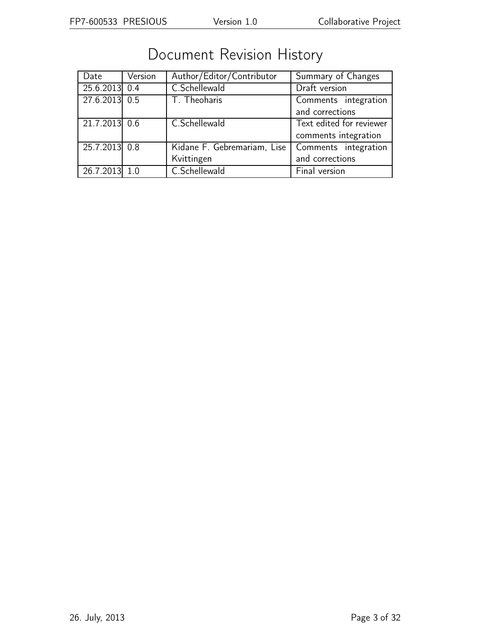| Date            | Version | Author/Editor/Contributor   | Summary of Changes       |  |
|-----------------|---------|-----------------------------|--------------------------|--|
| $25.6.2013$ 0.4 |         | C.Schellewald               | Draft version            |  |
| 27.6.2013 0.5   |         | T. Theoharis                | Comments integration     |  |
|                 |         |                             | and corrections          |  |
| 21.7.2013 0.6   |         | C.Schellewald               | Text edited for reviewer |  |
|                 |         |                             | comments integration     |  |
| 25.7.2013 0.8   |         | Kidane F. Gebremariam, Lise | Comments integration     |  |
|                 |         | Kvittingen                  | and corrections          |  |
| 26.7.2013 1.0   |         | C.Schellewald               | Final version            |  |

# Document Revision History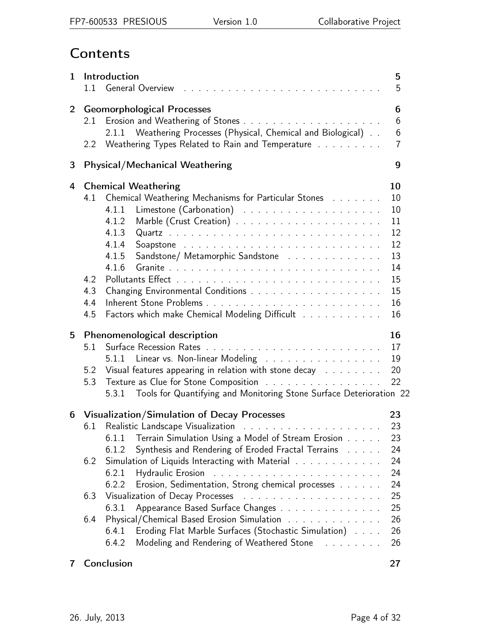# **Contents**

| $\mathbf{1}$ |                          | Introduction<br>5<br>1.1 General Overview research research resources and contact the contact of the contact of the contact of the contact of the contact of the contact of the contact of the contact of the contact of the contact of the contact<br>5                                            |                                                                      |  |  |  |
|--------------|--------------------------|-----------------------------------------------------------------------------------------------------------------------------------------------------------------------------------------------------------------------------------------------------------------------------------------------------|----------------------------------------------------------------------|--|--|--|
| $2^{\circ}$  | $2.2^{\circ}$            | <b>Geomorphological Processes</b><br>2.1.1 Weathering Processes (Physical, Chemical and Biological)<br>Weathering Types Related to Rain and Temperature                                                                                                                                             | 6<br>6<br>6<br>$\overline{7}$                                        |  |  |  |
| 3            |                          | <b>Physical/Mechanical Weathering</b><br>9                                                                                                                                                                                                                                                          |                                                                      |  |  |  |
| 4            | 4.2<br>4.3<br>4.4<br>4.5 | <b>Chemical Weathering</b><br>4.1 Chemical Weathering Mechanisms for Particular Stones<br>4.1.1<br>4.1.2<br>4.1.3<br>4.1.4<br>Sandstone/ Metamorphic Sandstone<br>4.1.5<br>4.1.6<br>Factors which make Chemical Modeling Difficult                                                                  | 10<br>10<br>10<br>11<br>12<br>12<br>13<br>14<br>15<br>15<br>16<br>16 |  |  |  |
| 5            | 5.1<br>5.2<br>5.3        | Phenomenological description<br>5.1.1 Linear vs. Non-linear Modeling<br>Visual features appearing in relation with stone decay remains and results<br>Texture as Clue for Stone Composition<br>Tools for Quantifying and Monitoring Stone Surface Deterioration 22<br>5.3.1                         | 16<br>17<br>19<br>20<br>22                                           |  |  |  |
| 6            | 6.1<br>6.2<br>6.3        | Visualization/Simulation of Decay Processes<br>Terrain Simulation Using a Model of Stream Erosion<br>6.1.1<br>Synthesis and Rendering of Eroded Fractal Terrains<br>6.1.2<br>Simulation of Liquids Interacting with Material<br>6.2.1<br>Erosion, Sedimentation, Strong chemical processes<br>6.2.2 | 23<br>23<br>23<br>24<br>24<br>24<br>24<br>25                         |  |  |  |
|              | 6.4                      | Appearance Based Surface Changes<br>6.3.1<br>Physical/Chemical Based Erosion Simulation<br>Eroding Flat Marble Surfaces (Stochastic Simulation)<br>6.4.1<br>Modeling and Rendering of Weathered Stone Fig. 2. All 2. All<br>6.4.2                                                                   | 25<br>26<br>26<br>26                                                 |  |  |  |
| 7            |                          | Conclusion                                                                                                                                                                                                                                                                                          | 27                                                                   |  |  |  |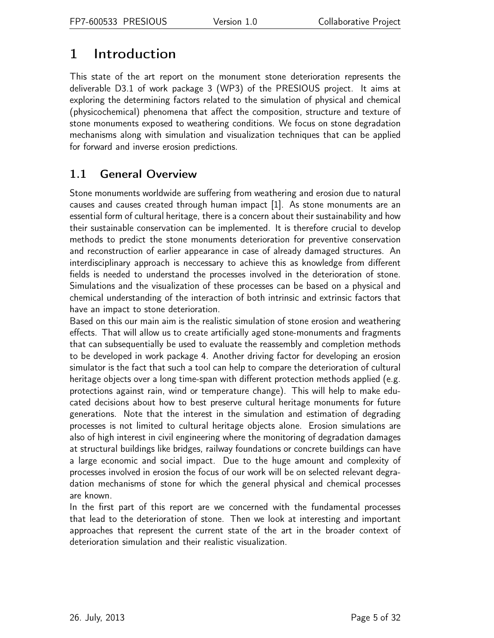## <span id="page-4-0"></span>1 Introduction

This state of the art report on the monument stone deterioration represents the deliverable D3.1 of work package 3 (WP3) of the PRESIOUS project. It aims at exploring the determining factors related to the simulation of physical and chemical (physicochemical) phenomena that affect the composition, structure and texture of stone monuments exposed to weathering conditions. We focus on stone degradation mechanisms along with simulation and visualization techniques that can be applied for forward and inverse erosion predictions.

## <span id="page-4-1"></span>1.1 General Overview

Stone monuments worldwide are suffering from weathering and erosion due to natural causes and causes created through human impact [1]. As stone monuments are an essential form of cultural heritage, there is a concern about their sustainability and how their sustainable conservation can be implemented. It is therefore crucial to develop methods to predict the stone monuments deterioration for preventive conservation and reconstruction of earlier appearance in case of already damaged structures. An interdisciplinary approach is neccessary to achieve this as knowledge from different fields is needed to understand the processes involved in the deterioration of stone. Simulations and the visualization of these processes can be based on a physical and chemical understanding of the interaction of both intrinsic and extrinsic factors that have an impact to stone deterioration.

Based on this our main aim is the realistic simulation of stone erosion and weathering effects. That will allow us to create artificially aged stone-monuments and fragments that can subsequentially be used to evaluate the reassembly and completion methods to be developed in work package 4. Another driving factor for developing an erosion simulator is the fact that such a tool can help to compare the deterioration of cultural heritage objects over a long time-span with different protection methods applied (e.g. protections against rain, wind or temperature change). This will help to make educated decisions about how to best preserve cultural heritage monuments for future generations. Note that the interest in the simulation and estimation of degrading processes is not limited to cultural heritage objects alone. Erosion simulations are also of high interest in civil engineering where the monitoring of degradation damages at structural buildings like bridges, railway foundations or concrete buildings can have a large economic and social impact. Due to the huge amount and complexity of processes involved in erosion the focus of our work will be on selected relevant degradation mechanisms of stone for which the general physical and chemical processes are known.

In the first part of this report are we concerned with the fundamental processes that lead to the deterioration of stone. Then we look at interesting and important approaches that represent the current state of the art in the broader context of deterioration simulation and their realistic visualization.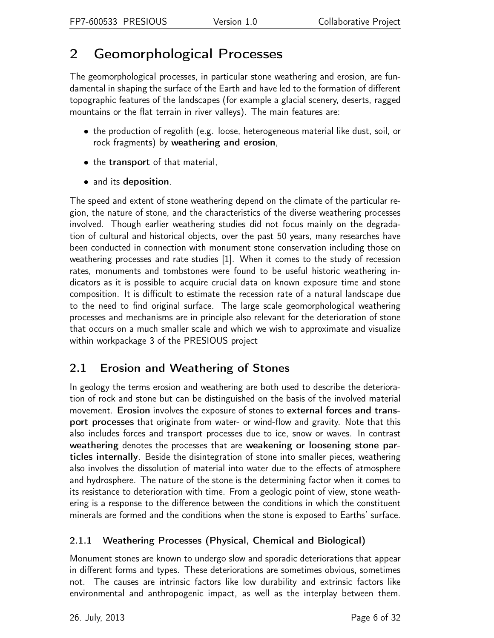## <span id="page-5-0"></span>2 Geomorphological Processes

The geomorphological processes, in particular stone weathering and erosion, are fundamental in shaping the surface of the Earth and have led to the formation of different topographic features of the landscapes (for example a glacial scenery, deserts, ragged mountains or the flat terrain in river valleys). The main features are:

- the production of regolith (e.g. loose, heterogeneous material like dust, soil, or rock fragments) by weathering and erosion,
- the transport of that material,
- and its deposition.

The speed and extent of stone weathering depend on the climate of the particular region, the nature of stone, and the characteristics of the diverse weathering processes involved. Though earlier weathering studies did not focus mainly on the degradation of cultural and historical objects, over the past 50 years, many researches have been conducted in connection with monument stone conservation including those on weathering processes and rate studies [1]. When it comes to the study of recession rates, monuments and tombstones were found to be useful historic weathering indicators as it is possible to acquire crucial data on known exposure time and stone composition. It is difficult to estimate the recession rate of a natural landscape due to the need to find original surface. The large scale geomorphological weathering processes and mechanisms are in principle also relevant for the deterioration of stone that occurs on a much smaller scale and which we wish to approximate and visualize within workpackage 3 of the PRESIOUS project

## <span id="page-5-1"></span>2.1 Erosion and Weathering of Stones

In geology the terms erosion and weathering are both used to describe the deterioration of rock and stone but can be distinguished on the basis of the involved material movement. Erosion involves the exposure of stones to external forces and transport processes that originate from water- or wind-flow and gravity. Note that this also includes forces and transport processes due to ice, snow or waves. In contrast weathering denotes the processes that are weakening or loosening stone particles internally. Beside the disintegration of stone into smaller pieces, weathering also involves the dissolution of material into water due to the effects of atmosphere and hydrosphere. The nature of the stone is the determining factor when it comes to its resistance to deterioration with time. From a geologic point of view, stone weathering is a response to the difference between the conditions in which the constituent minerals are formed and the conditions when the stone is exposed to Earths' surface.

### <span id="page-5-2"></span>2.1.1 Weathering Processes (Physical, Chemical and Biological)

Monument stones are known to undergo slow and sporadic deteriorations that appear in different forms and types. These deteriorations are sometimes obvious, sometimes not. The causes are intrinsic factors like low durability and extrinsic factors like environmental and anthropogenic impact, as well as the interplay between them.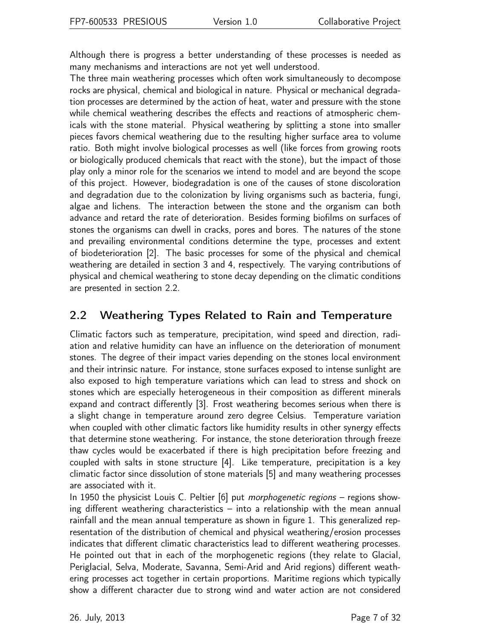Although there is progress a better understanding of these processes is needed as many mechanisms and interactions are not yet well understood.

The three main weathering processes which often work simultaneously to decompose rocks are physical, chemical and biological in nature. Physical or mechanical degradation processes are determined by the action of heat, water and pressure with the stone while chemical weathering describes the effects and reactions of atmospheric chemicals with the stone material. Physical weathering by splitting a stone into smaller pieces favors chemical weathering due to the resulting higher surface area to volume ratio. Both might involve biological processes as well (like forces from growing roots or biologically produced chemicals that react with the stone), but the impact of those play only a minor role for the scenarios we intend to model and are beyond the scope of this project. However, biodegradation is one of the causes of stone discoloration and degradation due to the colonization by living organisms such as bacteria, fungi, algae and lichens. The interaction between the stone and the organism can both advance and retard the rate of deterioration. Besides forming biofilms on surfaces of stones the organisms can dwell in cracks, pores and bores. The natures of the stone and prevailing environmental conditions determine the type, processes and extent of biodeterioration [2]. The basic processes for some of the physical and chemical weathering are detailed in section [3](#page-8-0) and [4,](#page-9-0) respectively. The varying contributions of physical and chemical weathering to stone decay depending on the climatic conditions are presented in section [2.2.](#page-6-0)

### <span id="page-6-0"></span>2.2 Weathering Types Related to Rain and Temperature

Climatic factors such as temperature, precipitation, wind speed and direction, radiation and relative humidity can have an influence on the deterioration of monument stones. The degree of their impact varies depending on the stones local environment and their intrinsic nature. For instance, stone surfaces exposed to intense sunlight are also exposed to high temperature variations which can lead to stress and shock on stones which are especially heterogeneous in their composition as different minerals expand and contract differently [3]. Frost weathering becomes serious when there is a slight change in temperature around zero degree Celsius. Temperature variation when coupled with other climatic factors like humidity results in other synergy effects that determine stone weathering. For instance, the stone deterioration through freeze thaw cycles would be exacerbated if there is high precipitation before freezing and coupled with salts in stone structure [4]. Like temperature, precipitation is a key climatic factor since dissolution of stone materials [5] and many weathering processes are associated with it.

In 1950 the physicist Louis C. Peltier [6] put morphogenetic regions - regions showing different weathering characteristics – into a relationship with the mean annual rainfall and the mean annual temperature as shown in figure [1.](#page-7-0) This generalized representation of the distribution of chemical and physical weathering/erosion processes indicates that different climatic characteristics lead to different weathering processes. He pointed out that in each of the morphogenetic regions (they relate to Glacial, Periglacial, Selva, Moderate, Savanna, Semi-Arid and Arid regions) different weathering processes act together in certain proportions. Maritime regions which typically show a different character due to strong wind and water action are not considered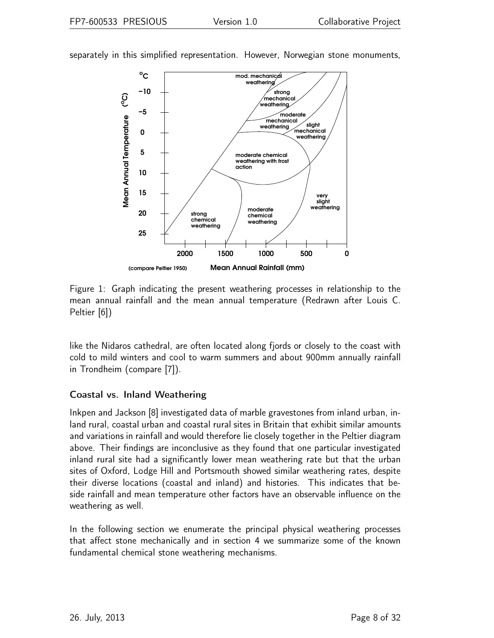

separately in this simplified representation. However, Norwegian stone monuments,

<span id="page-7-0"></span>Figure 1: Graph indicating the present weathering processes in relationship to the mean annual rainfall and the mean annual temperature (Redrawn after Louis C. Peltier [6])

like the Nidaros cathedral, are often located along fjords or closely to the coast with cold to mild winters and cool to warm summers and about 900mm annually rainfall in Trondheim (compare [7]).

#### Coastal vs. Inland Weathering

Inkpen and Jackson [8] investigated data of marble gravestones from inland urban, inland rural, coastal urban and coastal rural sites in Britain that exhibit similar amounts and variations in rainfall and would therefore lie closely together in the Peltier diagram above. Their findings are inconclusive as they found that one particular investigated inland rural site had a significantly lower mean weathering rate but that the urban sites of Oxford, Lodge Hill and Portsmouth showed similar weathering rates, despite their diverse locations (coastal and inland) and histories. This indicates that beside rainfall and mean temperature other factors have an observable influence on the weathering as well.

In the following section we enumerate the principal physical weathering processes that affect stone mechanically and in section [4](#page-9-0) we summarize some of the known fundamental chemical stone weathering mechanisms.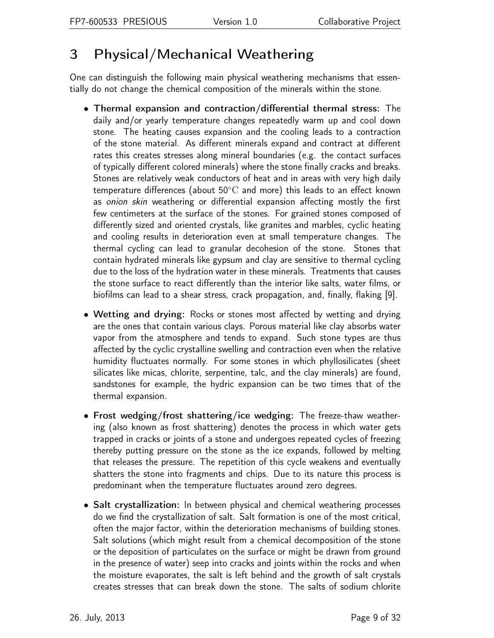## <span id="page-8-0"></span>3 Physical/Mechanical Weathering

One can distinguish the following main physical weathering mechanisms that essentially do not change the chemical composition of the minerals within the stone.

- Thermal expansion and contraction/differential thermal stress: The daily and/or yearly temperature changes repeatedly warm up and cool down stone. The heating causes expansion and the cooling leads to a contraction of the stone material. As different minerals expand and contract at different rates this creates stresses along mineral boundaries (e.g. the contact surfaces of typically different colored minerals) where the stone finally cracks and breaks. Stones are relatively weak conductors of heat and in areas with very high daily temperature differences (about 50◦C and more) this leads to an effect known as onion skin weathering or differential expansion affecting mostly the first few centimeters at the surface of the stones. For grained stones composed of differently sized and oriented crystals, like granites and marbles, cyclic heating and cooling results in deterioration even at small temperature changes. The thermal cycling can lead to granular decohesion of the stone. Stones that contain hydrated minerals like gypsum and clay are sensitive to thermal cycling due to the loss of the hydration water in these minerals. Treatments that causes the stone surface to react differently than the interior like salts, water films, or biofilms can lead to a shear stress, crack propagation, and, finally, flaking [9].
- Wetting and drying: Rocks or stones most affected by wetting and drying are the ones that contain various clays. Porous material like clay absorbs water vapor from the atmosphere and tends to expand. Such stone types are thus affected by the cyclic crystalline swelling and contraction even when the relative humidity fluctuates normally. For some stones in which phyllosilicates (sheet silicates like micas, chlorite, serpentine, talc, and the clay minerals) are found, sandstones for example, the hydric expansion can be two times that of the thermal expansion.
- Frost wedging/frost shattering/ice wedging: The freeze-thaw weathering (also known as frost shattering) denotes the process in which water gets trapped in cracks or joints of a stone and undergoes repeated cycles of freezing thereby putting pressure on the stone as the ice expands, followed by melting that releases the pressure. The repetition of this cycle weakens and eventually shatters the stone into fragments and chips. Due to its nature this process is predominant when the temperature fluctuates around zero degrees.
- Salt crystallization: In between physical and chemical weathering processes do we find the crystallization of salt. Salt formation is one of the most critical, often the major factor, within the deterioration mechanisms of building stones. Salt solutions (which might result from a chemical decomposition of the stone or the deposition of particulates on the surface or might be drawn from ground in the presence of water) seep into cracks and joints within the rocks and when the moisture evaporates, the salt is left behind and the growth of salt crystals creates stresses that can break down the stone. The salts of sodium chlorite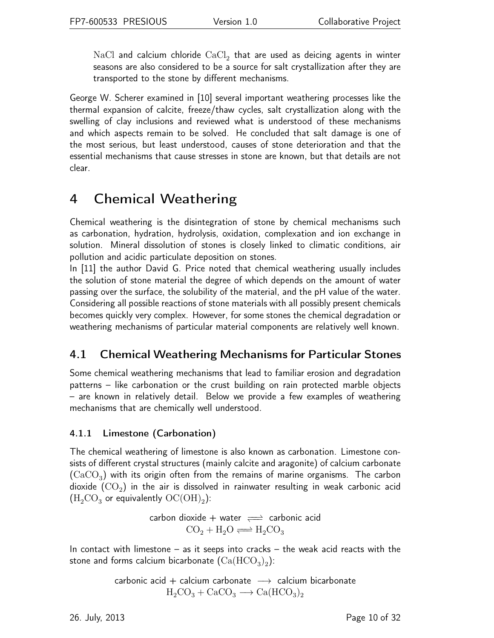$\rm NaCl$  and calcium chloride  $\rm CaCl_{2}$  that are used as deicing agents in winter seasons are also considered to be a source for salt crystallization after they are transported to the stone by different mechanisms.

George W. Scherer examined in [10] several important weathering processes like the thermal expansion of calcite, freeze/thaw cycles, salt crystallization along with the swelling of clay inclusions and reviewed what is understood of these mechanisms and which aspects remain to be solved. He concluded that salt damage is one of the most serious, but least understood, causes of stone deterioration and that the essential mechanisms that cause stresses in stone are known, but that details are not clear.

## <span id="page-9-0"></span>4 Chemical Weathering

Chemical weathering is the disintegration of stone by chemical mechanisms such as carbonation, hydration, hydrolysis, oxidation, complexation and ion exchange in solution. Mineral dissolution of stones is closely linked to climatic conditions, air pollution and acidic particulate deposition on stones.

In [11] the author David G. Price noted that chemical weathering usually includes the solution of stone material the degree of which depends on the amount of water passing over the surface, the solubility of the material, and the pH value of the water. Considering all possible reactions of stone materials with all possibly present chemicals becomes quickly very complex. However, for some stones the chemical degradation or weathering mechanisms of particular material components are relatively well known.

## <span id="page-9-1"></span>4.1 Chemical Weathering Mechanisms for Particular Stones

Some chemical weathering mechanisms that lead to familiar erosion and degradation patterns – like carbonation or the crust building on rain protected marble objects – are known in relatively detail. Below we provide a few examples of weathering mechanisms that are chemically well understood.

### <span id="page-9-2"></span>4.1.1 Limestone (Carbonation)

The chemical weathering of limestone is also known as carbonation. Limestone consists of different crystal structures (mainly calcite and aragonite) of calcium carbonate  ${\rm (CaCO_3)}$  with its origin often from the remains of marine organisms. The carbon dioxide  ${\rm (CO}_{2})$  in the air is dissolved in rainwater resulting in weak carbonic acid  $(\mathrm{H_{2}CO_{3}}$  or equivalently  $\mathrm{OC(OH)_{2}})$ :

> carbon dioxide + water  $\implies$  carbonic acid  $CO_2 + H_2O \rightleftharpoons H_2CO_3$

In contact with limestone – as it seeps into cracks – the weak acid reacts with the stone and forms calcium bicarbonate  ${\rm (Ca(HCO_3)_2)}$ :

$$
\begin{array}{rcl} \text{carbonic acid} + \text{calcium carbonate} & \longrightarrow & \text{calcium bicarbonate} \\ \text{H}_{2}\text{CO}_{3} + \text{CaCO}_{3} & \longrightarrow \text{Ca(HCO}_{3})_{2} \end{array}
$$

26. July, 2013 Page 10 of 32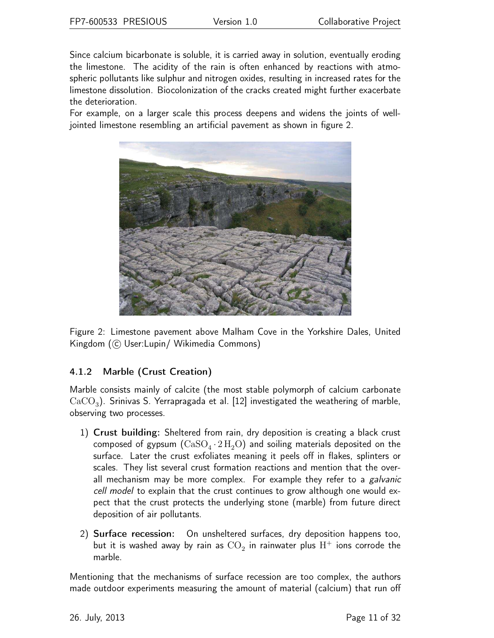Since calcium bicarbonate is soluble, it is carried away in solution, eventually eroding the limestone. The acidity of the rain is often enhanced by reactions with atmospheric pollutants like sulphur and nitrogen oxides, resulting in increased rates for the limestone dissolution. Biocolonization of the cracks created might further exacerbate the deterioration.

For example, on a larger scale this process deepens and widens the joints of welljointed limestone resembling an artificial pavement as shown in figure [2.](#page-10-1)



<span id="page-10-1"></span>Figure 2: Limestone pavement above Malham Cove in the Yorkshire Dales, United Kingdom (C User:Lupin/ Wikimedia Commons)

### <span id="page-10-0"></span>4.1.2 Marble (Crust Creation)

Marble consists mainly of calcite (the most stable polymorph of calcium carbonate  ${\rm CaCO}_3)$ . Srinivas S. Yerrapragada et al. [12] investigated the weathering of marble, observing two processes.

- 1) Crust building: Sheltered from rain, dry deposition is creating a black crust composed of gypsum  $(\mathrm{CaSO_4}\cdot2\,\mathrm{H_2O})$  and soiling materials deposited on the surface. Later the crust exfoliates meaning it peels off in flakes, splinters or scales. They list several crust formation reactions and mention that the overall mechanism may be more complex. For example they refer to a *galvanic* cell model to explain that the crust continues to grow although one would expect that the crust protects the underlying stone (marble) from future direct deposition of air pollutants.
- 2) Surface recession: On unsheltered surfaces, dry deposition happens too, but it is washed away by rain as  $\mathrm{CO}_2$  in rainwater plus  $\mathrm{H}^+$  ions corrode the marble.

Mentioning that the mechanisms of surface recession are too complex, the authors made outdoor experiments measuring the amount of material (calcium) that run off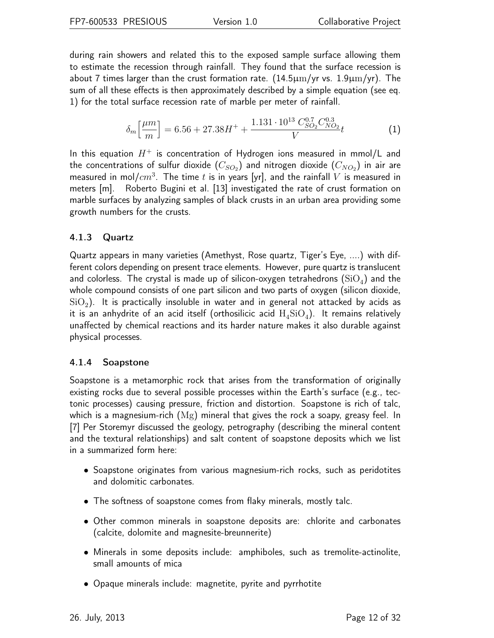during rain showers and related this to the exposed sample surface allowing them to estimate the recession through rainfall. They found that the surface recession is about 7 times larger than the crust formation rate.  $(14.5 \mu m/yr \text{ vs. } 1.9 \mu m/yr)$ . The sum of all these effects is then approximately described by a simple equation (see eq. [1\)](#page-11-2) for the total surface recession rate of marble per meter of rainfall.

<span id="page-11-2"></span>
$$
\delta_m \left[ \frac{\mu m}{m} \right] = 6.56 + 27.38H^+ + \frac{1.131 \cdot 10^{13} \, C_{SO_2}^{0.7} C_{NO_2}^{0.3}}{V} t \tag{1}
$$

In this equation  $H^+$  is concentration of Hydrogen ions measured in mmol/L and the concentrations of sulfur dioxide  $(C_{SO_2})$  and nitrogen dioxide  $(C_{NO_2})$  in air are measured in mol $/cm^3$ . The time  $t$  is in years [yr], and the rainfall  $V$  is measured in meters [m]. Roberto Bugini et al. [13] investigated the rate of crust formation on marble surfaces by analyzing samples of black crusts in an urban area providing some growth numbers for the crusts.

#### <span id="page-11-0"></span>4.1.3 Quartz

Quartz appears in many varieties (Amethyst, Rose quartz, Tiger's Eye, ....) with different colors depending on present trace elements. However, pure quartz is translucent and colorless. The crystal is made up of silicon-oxygen tetrahedrons  $(\mathrm{SiO}_4)$  and the whole compound consists of one part silicon and two parts of oxygen (silicon dioxide,  $\mathrm{SiO}_2)$ . It is practically insoluble in water and in general not attacked by acids as it is an anhydrite of an acid itself (orthosilicic acid  $\rm H_4SiO_4)$ . It remains relatively unaffected by chemical reactions and its harder nature makes it also durable against physical processes.

#### <span id="page-11-1"></span>4.1.4 Soapstone

Soapstone is a metamorphic rock that arises from the transformation of originally existing rocks due to several possible processes within the Earth's surface (e.g., tectonic processes) causing pressure, friction and distortion. Soapstone is rich of talc, which is a magnesium-rich (Mg) mineral that gives the rock a soapy, greasy feel. In [7] Per Storemyr discussed the geology, petrography (describing the mineral content and the textural relationships) and salt content of soapstone deposits which we list in a summarized form here:

- Soapstone originates from various magnesium-rich rocks, such as peridotites and dolomitic carbonates.
- The softness of soapstone comes from flaky minerals, mostly talc.
- Other common minerals in soapstone deposits are: chlorite and carbonates (calcite, dolomite and magnesite-breunnerite)
- Minerals in some deposits include: amphiboles, such as tremolite-actinolite, small amounts of mica
- Opaque minerals include: magnetite, pyrite and pyrrhotite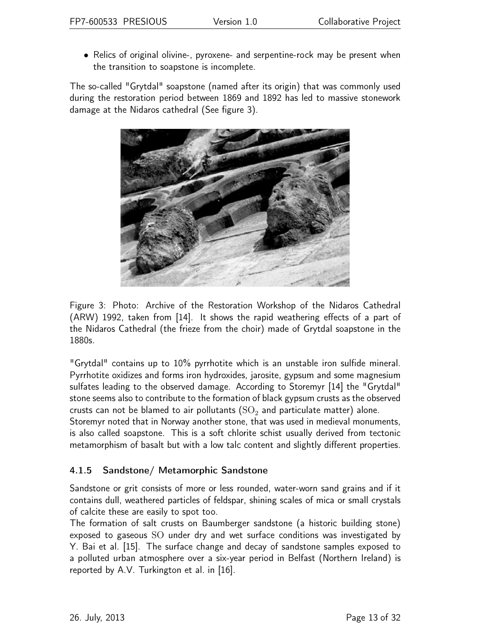• Relics of original olivine-, pyroxene- and serpentine-rock may be present when the transition to soapstone is incomplete.

The so-called "Grytdal" soapstone (named after its origin) that was commonly used during the restoration period between 1869 and 1892 has led to massive stonework damage at the Nidaros cathedral (See figure [3\)](#page-12-1).



<span id="page-12-1"></span>Figure 3: Photo: Archive of the Restoration Workshop of the Nidaros Cathedral (ARW) 1992, taken from [14]. It shows the rapid weathering effects of a part of the Nidaros Cathedral (the frieze from the choir) made of Grytdal soapstone in the 1880s.

"Grytdal" contains up to 10% pyrrhotite which is an unstable iron sulfide mineral. Pyrrhotite oxidizes and forms iron hydroxides, jarosite, gypsum and some magnesium sulfates leading to the observed damage. According to Storemyr [14] the "Grytdal" stone seems also to contribute to the formation of black gypsum crusts as the observed crusts can not be blamed to air pollutants ( $\mathrm{SO}_2$  and particulate matter) alone.

Storemyr noted that in Norway another stone, that was used in medieval monuments, is also called soapstone. This is a soft chlorite schist usually derived from tectonic metamorphism of basalt but with a low talc content and slightly different properties.

### <span id="page-12-0"></span>4.1.5 Sandstone/ Metamorphic Sandstone

Sandstone or grit consists of more or less rounded, water-worn sand grains and if it contains dull, weathered particles of feldspar, shining scales of mica or small crystals of calcite these are easily to spot too.

The formation of salt crusts on Baumberger sandstone (a historic building stone) exposed to gaseous SO under dry and wet surface conditions was investigated by Y. Bai et al. [15]. The surface change and decay of sandstone samples exposed to a polluted urban atmosphere over a six-year period in Belfast (Northern Ireland) is reported by A.V. Turkington et al. in [16].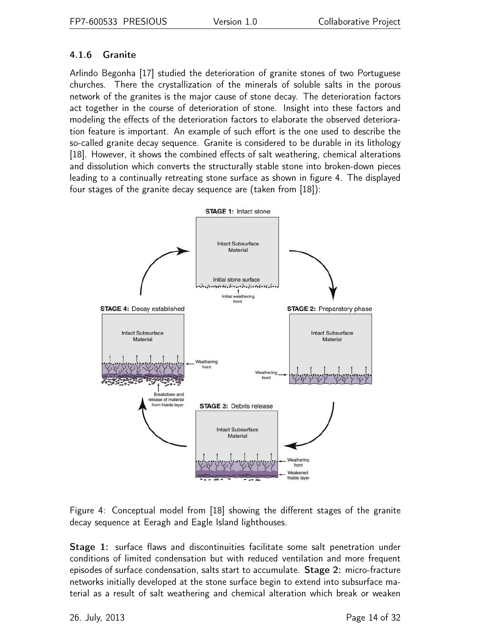### <span id="page-13-0"></span>4.1.6 Granite

Arlindo Begonha [17] studied the deterioration of granite stones of two Portuguese churches. There the crystallization of the minerals of soluble salts in the porous network of the granites is the major cause of stone decay. The deterioration factors act together in the course of deterioration of stone. Insight into these factors and modeling the effects of the deterioration factors to elaborate the observed deterioration feature is important. An example of such effort is the one used to describe the so-called granite decay sequence. Granite is considered to be durable in its lithology [18]. However, it shows the combined effects of salt weathering, chemical alterations and dissolution which converts the structurally stable stone into broken-down pieces leading to a continually retreating stone surface as shown in figure [4.](#page-13-1) The displayed four stages of the granite decay sequence are (taken from [18]):



<span id="page-13-1"></span>Figure 4: Conceptual model from [18] showing the different stages of the granite decay sequence at Eeragh and Eagle Island lighthouses.

Stage 1: surface flaws and discontinuities facilitate some salt penetration under conditions of limited condensation but with reduced ventilation and more frequent episodes of surface condensation, salts start to accumulate. Stage 2: micro-fracture networks initially developed at the stone surface begin to extend into subsurface material as a result of salt weathering and chemical alteration which break or weaken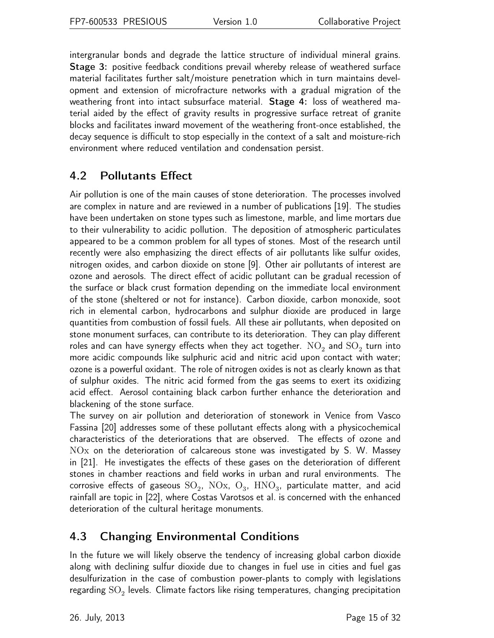intergranular bonds and degrade the lattice structure of individual mineral grains. Stage 3: positive feedback conditions prevail whereby release of weathered surface material facilitates further salt/moisture penetration which in turn maintains development and extension of microfracture networks with a gradual migration of the weathering front into intact subsurface material. Stage 4: loss of weathered material aided by the effect of gravity results in progressive surface retreat of granite blocks and facilitates inward movement of the weathering front-once established, the decay sequence is difficult to stop especially in the context of a salt and moisture-rich environment where reduced ventilation and condensation persist.

### <span id="page-14-0"></span>4.2 Pollutants Effect

Air pollution is one of the main causes of stone deterioration. The processes involved are complex in nature and are reviewed in a number of publications [19]. The studies have been undertaken on stone types such as limestone, marble, and lime mortars due to their vulnerability to acidic pollution. The deposition of atmospheric particulates appeared to be a common problem for all types of stones. Most of the research until recently were also emphasizing the direct effects of air pollutants like sulfur oxides, nitrogen oxides, and carbon dioxide on stone [9]. Other air pollutants of interest are ozone and aerosols. The direct effect of acidic pollutant can be gradual recession of the surface or black crust formation depending on the immediate local environment of the stone (sheltered or not for instance). Carbon dioxide, carbon monoxide, soot rich in elemental carbon, hydrocarbons and sulphur dioxide are produced in large quantities from combustion of fossil fuels. All these air pollutants, when deposited on stone monument surfaces, can contribute to its deterioration. They can play different roles and can have synergy effects when they act together.  $\mathrm{NO}_2$  and  $\mathrm{SO}_2$  turn into more acidic compounds like sulphuric acid and nitric acid upon contact with water; ozone is a powerful oxidant. The role of nitrogen oxides is not as clearly known as that of sulphur oxides. The nitric acid formed from the gas seems to exert its oxidizing acid effect. Aerosol containing black carbon further enhance the deterioration and blackening of the stone surface.

The survey on air pollution and deterioration of stonework in Venice from Vasco Fassina [20] addresses some of these pollutant effects along with a physicochemical characteristics of the deteriorations that are observed. The effects of ozone and NOx on the deterioration of calcareous stone was investigated by S. W. Massey in [21]. He investigates the effects of these gases on the deterioration of different stones in chamber reactions and field works in urban and rural environments. The corrosive effects of gaseous  $\mathrm{SO}_2$ ,  $\mathrm{NOx}$ ,  $\mathrm{O}_3$ ,  $\mathrm{HNO}_3$ , particulate matter, and acid rainfall are topic in [22], where Costas Varotsos et al. is concerned with the enhanced deterioration of the cultural heritage monuments.

### <span id="page-14-1"></span>4.3 Changing Environmental Conditions

In the future we will likely observe the tendency of increasing global carbon dioxide along with declining sulfur dioxide due to changes in fuel use in cities and fuel gas desulfurization in the case of combustion power-plants to comply with legislations regarding  $\mathrm{SO}_2$  levels. Climate factors like rising temperatures, changing precipitation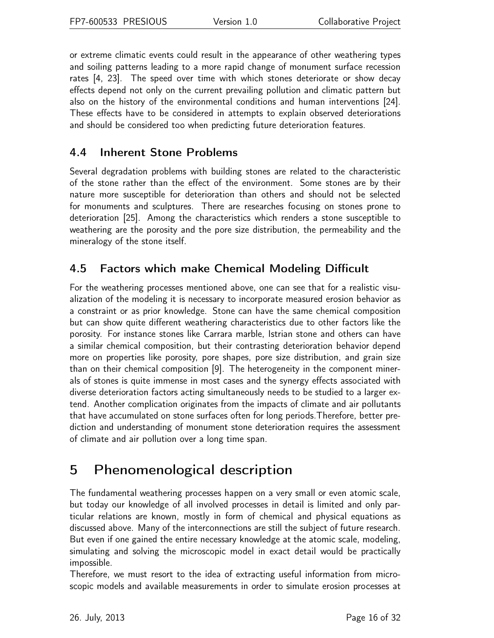or extreme climatic events could result in the appearance of other weathering types and soiling patterns leading to a more rapid change of monument surface recession rates [4, 23]. The speed over time with which stones deteriorate or show decay effects depend not only on the current prevailing pollution and climatic pattern but also on the history of the environmental conditions and human interventions [24]. These effects have to be considered in attempts to explain observed deteriorations and should be considered too when predicting future deterioration features.

### <span id="page-15-0"></span>4.4 Inherent Stone Problems

Several degradation problems with building stones are related to the characteristic of the stone rather than the effect of the environment. Some stones are by their nature more susceptible for deterioration than others and should not be selected for monuments and sculptures. There are researches focusing on stones prone to deterioration [25]. Among the characteristics which renders a stone susceptible to weathering are the porosity and the pore size distribution, the permeability and the mineralogy of the stone itself.

## <span id="page-15-1"></span>4.5 Factors which make Chemical Modeling Difficult

For the weathering processes mentioned above, one can see that for a realistic visualization of the modeling it is necessary to incorporate measured erosion behavior as a constraint or as prior knowledge. Stone can have the same chemical composition but can show quite different weathering characteristics due to other factors like the porosity. For instance stones like Carrara marble, Istrian stone and others can have a similar chemical composition, but their contrasting deterioration behavior depend more on properties like porosity, pore shapes, pore size distribution, and grain size than on their chemical composition [9]. The heterogeneity in the component minerals of stones is quite immense in most cases and the synergy effects associated with diverse deterioration factors acting simultaneously needs to be studied to a larger extend. Another complication originates from the impacts of climate and air pollutants that have accumulated on stone surfaces often for long periods.Therefore, better prediction and understanding of monument stone deterioration requires the assessment of climate and air pollution over a long time span.

## <span id="page-15-2"></span>5 Phenomenological description

The fundamental weathering processes happen on a very small or even atomic scale, but today our knowledge of all involved processes in detail is limited and only particular relations are known, mostly in form of chemical and physical equations as discussed above. Many of the interconnections are still the subject of future research. But even if one gained the entire necessary knowledge at the atomic scale, modeling, simulating and solving the microscopic model in exact detail would be practically impossible.

Therefore, we must resort to the idea of extracting useful information from microscopic models and available measurements in order to simulate erosion processes at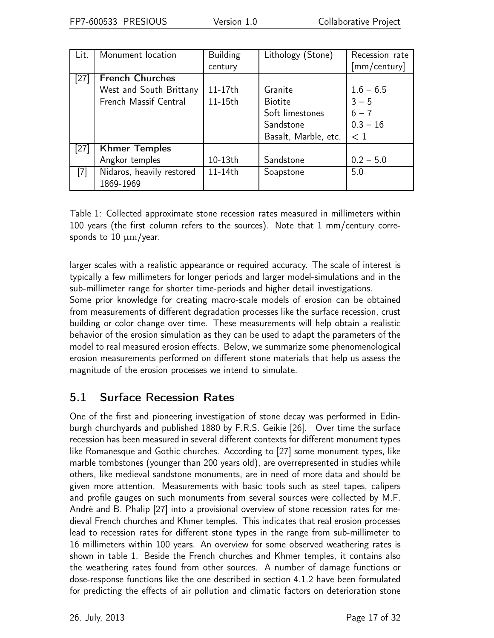| Lit.   | Monument location         | <b>Building</b> | Lithology (Stone)    | Recession rate |
|--------|---------------------------|-----------------|----------------------|----------------|
|        |                           | century         |                      | [mm/century]   |
| $[27]$ | <b>French Churches</b>    |                 |                      |                |
|        | West and South Brittany   | 11-17th         | Granite              | $1.6 - 6.5$    |
|        | French Massif Central     | 11-15th         | <b>Biotite</b>       | $3 - 5$        |
|        |                           |                 | Soft limestones      | $6 - 7$        |
|        |                           |                 | Sandstone            | $0.3 - 16$     |
|        |                           |                 | Basalt, Marble, etc. | $\leq 1$       |
| $[27]$ | <b>Khmer Temples</b>      |                 |                      |                |
|        | Angkor temples            | 10-13th         | Sandstone            | $0.2 - 5.0$    |
| $[7]$  | Nidaros, heavily restored | 11-14th         | Soapstone            | 5.0            |
|        | 1869-1969                 |                 |                      |                |

<span id="page-16-1"></span>Table 1: Collected approximate stone recession rates measured in millimeters within 100 years (the first column refers to the sources). Note that 1 mm/century corresponds to 10  $\mu$ m/year.

larger scales with a realistic appearance or required accuracy. The scale of interest is typically a few millimeters for longer periods and larger model-simulations and in the sub-millimeter range for shorter time-periods and higher detail investigations.

Some prior knowledge for creating macro-scale models of erosion can be obtained from measurements of different degradation processes like the surface recession, crust building or color change over time. These measurements will help obtain a realistic behavior of the erosion simulation as they can be used to adapt the parameters of the model to real measured erosion effects. Below, we summarize some phenomenological erosion measurements performed on different stone materials that help us assess the magnitude of the erosion processes we intend to simulate.

## <span id="page-16-0"></span>5.1 Surface Recession Rates

One of the first and pioneering investigation of stone decay was performed in Edinburgh churchyards and published 1880 by F.R.S. Geikie [26]. Over time the surface recession has been measured in several different contexts for different monument types like Romanesque and Gothic churches. According to [27] some monument types, like marble tombstones (younger than 200 years old), are overrepresented in studies while others, like medieval sandstone monuments, are in need of more data and should be given more attention. Measurements with basic tools such as steel tapes, calipers and profile gauges on such monuments from several sources were collected by M.F. André and B. Phalip [27] into a provisional overview of stone recession rates for medieval French churches and Khmer temples. This indicates that real erosion processes lead to recession rates for different stone types in the range from sub-millimeter to 16 millimeters within 100 years. An overview for some observed weathering rates is shown in table [1.](#page-16-1) Beside the French churches and Khmer temples, it contains also the weathering rates found from other sources. A number of damage functions or dose-response functions like the one described in section [4.1.2](#page-10-0) have been formulated for predicting the effects of air pollution and climatic factors on deterioration stone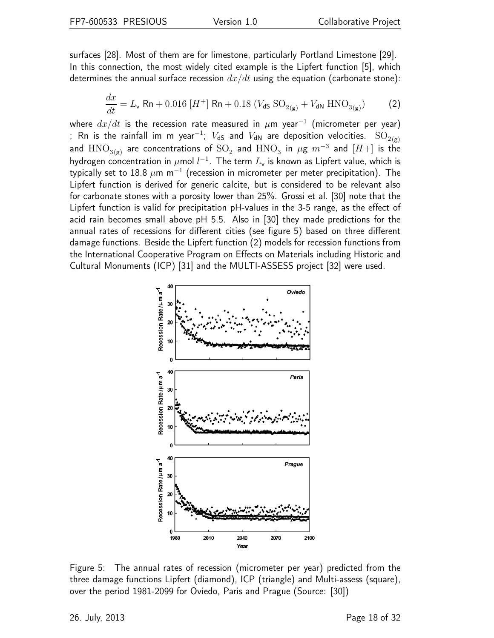surfaces [28]. Most of them are for limestone, particularly Portland Limestone [29]. In this connection, the most widely cited example is the Lipfert function [5], which determines the annual surface recession  $dx/dt$  using the equation (carbonate stone):

<span id="page-17-1"></span>
$$
\frac{dx}{dt} = L_{\rm v} \text{ Rn} + 0.016 \left[ H^+ \right] \text{ Rn} + 0.18 \left( V_{\rm dS} \text{ SO}_{2\text{(g)}} + V_{\rm dN} \text{ HNO}_{3\text{(g)}} \right) \tag{2}
$$

where  $dx/dt$  is the recession rate measured in  $\mu$ m year $^{-1}$  (micrometer per year) ; Rn is the rainfall im m year $^{-1}$ ;  $V_{\textsf{dS}}$  and  $V_{\textsf{dN}}$  are deposition velocities.  $\mathrm{SO}_{2(\textsf{g})}$ and  $\mathrm{HNO}_{3\rm(g)}$  are concentrations of  $\mathrm{SO}_2$  and  $\mathrm{HNO}_3$  in  $\mu$ g  $m^{-3}$  and  $[H+]$  is the hydrogen concentration in  $\mu$ mol  $l^{-1}.$  The term  $L_{\mathsf{v}}$  is known as Lipfert value, which is typically set to 18.8  $\mu$ m m $^{-1}$  (recession in micrometer per meter precipitation). The Lipfert function is derived for generic calcite, but is considered to be relevant also for carbonate stones with a porosity lower than 25%. Grossi et al. [30] note that the Lipfert function is valid for precipitation pH-values in the 3-5 range, as the effect of acid rain becomes small above pH 5.5. Also in [30] they made predictions for the annual rates of recessions for different cities (see figure [5\)](#page-17-0) based on three different damage functions. Beside the Lipfert function [\(2\)](#page-17-1) models for recession functions from the International Cooperative Program on Effects on Materials including Historic and Cultural Monuments (ICP) [31] and the MULTI-ASSESS project [32] were used.



<span id="page-17-0"></span>Figure 5: The annual rates of recession (micrometer per year) predicted from the three damage functions Lipfert (diamond), ICP (triangle) and Multi-assess (square), over the period 1981-2099 for Oviedo, Paris and Prague (Source: [30])

26. July, 2013 Page 18 of 32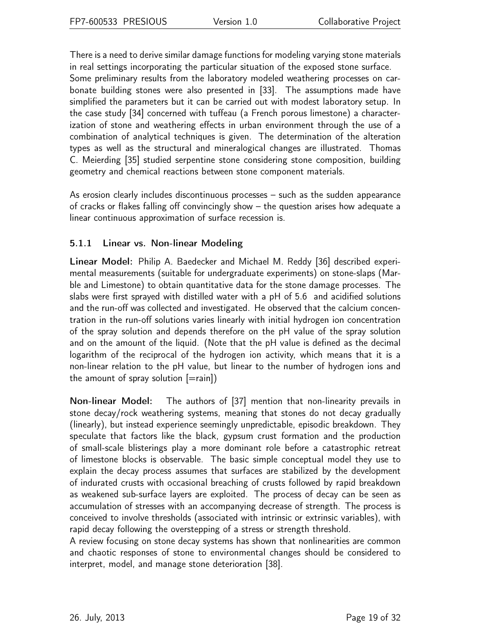There is a need to derive similar damage functions for modeling varying stone materials in real settings incorporating the particular situation of the exposed stone surface.

Some preliminary results from the laboratory modeled weathering processes on carbonate building stones were also presented in [33]. The assumptions made have simplified the parameters but it can be carried out with modest laboratory setup. In the case study [34] concerned with tuffeau (a French porous limestone) a characterization of stone and weathering effects in urban environment through the use of a combination of analytical techniques is given. The determination of the alteration types as well as the structural and mineralogical changes are illustrated. Thomas C. Meierding [35] studied serpentine stone considering stone composition, building geometry and chemical reactions between stone component materials.

As erosion clearly includes discontinuous processes – such as the sudden appearance of cracks or flakes falling off convincingly show – the question arises how adequate a linear continuous approximation of surface recession is.

### <span id="page-18-0"></span>5.1.1 Linear vs. Non-linear Modeling

Linear Model: Philip A. Baedecker and Michael M. Reddy [36] described experimental measurements (suitable for undergraduate experiments) on stone-slaps (Marble and Limestone) to obtain quantitative data for the stone damage processes. The slabs were first sprayed with distilled water with a pH of 5.6 and acidified solutions and the run-off was collected and investigated. He observed that the calcium concentration in the run-off solutions varies linearly with initial hydrogen ion concentration of the spray solution and depends therefore on the pH value of the spray solution and on the amount of the liquid. (Note that the pH value is defined as the decimal logarithm of the reciprocal of the hydrogen ion activity, which means that it is a non-linear relation to the pH value, but linear to the number of hydrogen ions and the amount of spray solution  $[=$ rain])

Non-linear Model: The authors of [37] mention that non-linearity prevails in stone decay/rock weathering systems, meaning that stones do not decay gradually (linearly), but instead experience seemingly unpredictable, episodic breakdown. They speculate that factors like the black, gypsum crust formation and the production of small-scale blisterings play a more dominant role before a catastrophic retreat of limestone blocks is observable. The basic simple conceptual model they use to explain the decay process assumes that surfaces are stabilized by the development of indurated crusts with occasional breaching of crusts followed by rapid breakdown as weakened sub-surface layers are exploited. The process of decay can be seen as accumulation of stresses with an accompanying decrease of strength. The process is conceived to involve thresholds (associated with intrinsic or extrinsic variables), with rapid decay following the overstepping of a stress or strength threshold.

A review focusing on stone decay systems has shown that nonlinearities are common and chaotic responses of stone to environmental changes should be considered to interpret, model, and manage stone deterioration [38].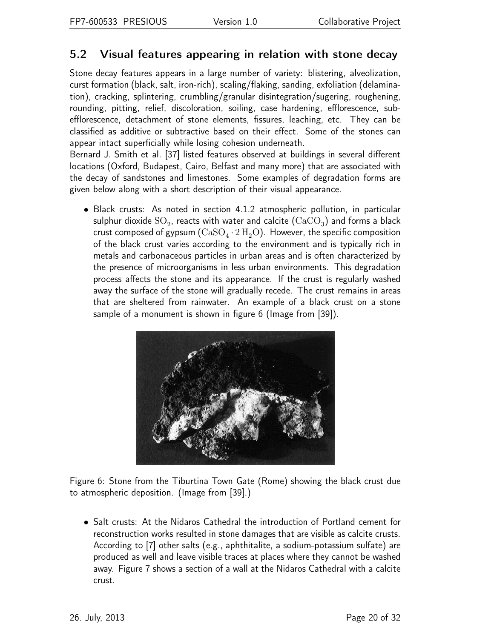## <span id="page-19-0"></span>5.2 Visual features appearing in relation with stone decay

Stone decay features appears in a large number of variety: blistering, alveolization, curst formation (black, salt, iron-rich), scaling/flaking, sanding, exfoliation (delamination), cracking, splintering, crumbling/granular disintegration/sugering, roughening, rounding, pitting, relief, discoloration, soiling, case hardening, efflorescence, subefflorescence, detachment of stone elements, fissures, leaching, etc. They can be classified as additive or subtractive based on their effect. Some of the stones can appear intact superficially while losing cohesion underneath.

Bernard J. Smith et al. [37] listed features observed at buildings in several different locations (Oxford, Budapest, Cairo, Belfast and many more) that are associated with the decay of sandstones and limestones. Some examples of degradation forms are given below along with a short description of their visual appearance.

• Black crusts: As noted in section [4.1.2](#page-10-0) atmospheric pollution, in particular sulphur dioxide  $\mathrm{SO}_2$ , reacts with water and calcite  $(\mathrm{CaCO}_3)$  and forms a black crust composed of gypsum  $(\mathrm{CaSO_4\cdot2\,H_2O})$ . However, the specific composition of the black crust varies according to the environment and is typically rich in metals and carbonaceous particles in urban areas and is often characterized by the presence of microorganisms in less urban environments. This degradation process affects the stone and its appearance. If the crust is regularly washed away the surface of the stone will gradually recede. The crust remains in areas that are sheltered from rainwater. An example of a black crust on a stone sample of a monument is shown in figure [6](#page-19-1) (Image from [39]).



Figure 6: Stone from the Tiburtina Town Gate (Rome) showing the black crust due to atmospheric deposition. (Image from [39].)

<span id="page-19-1"></span>• Salt crusts: At the Nidaros Cathedral the introduction of Portland cement for reconstruction works resulted in stone damages that are visible as calcite crusts. According to [7] other salts (e.g., aphthitalite, a sodium-potassium sulfate) are produced as well and leave visible traces at places where they cannot be washed away. Figure [7](#page-20-0) shows a section of a wall at the Nidaros Cathedral with a calcite crust.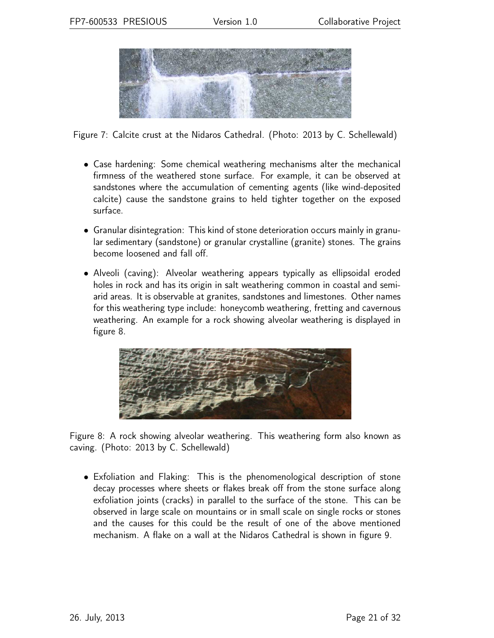

Figure 7: Calcite crust at the Nidaros Cathedral. (Photo: 2013 by C. Schellewald)

- <span id="page-20-0"></span>• Case hardening: Some chemical weathering mechanisms alter the mechanical firmness of the weathered stone surface. For example, it can be observed at sandstones where the accumulation of cementing agents (like wind-deposited calcite) cause the sandstone grains to held tighter together on the exposed surface.
- Granular disintegration: This kind of stone deterioration occurs mainly in granular sedimentary (sandstone) or granular crystalline (granite) stones. The grains become loosened and fall off.
- Alveoli (caving): Alveolar weathering appears typically as ellipsoidal eroded holes in rock and has its origin in salt weathering common in coastal and semiarid areas. It is observable at granites, sandstones and limestones. Other names for this weathering type include: honeycomb weathering, fretting and cavernous weathering. An example for a rock showing alveolar weathering is displayed in figure [8.](#page-20-1)



Figure 8: A rock showing alveolar weathering. This weathering form also known as caving. (Photo: 2013 by C. Schellewald)

<span id="page-20-1"></span>• Exfoliation and Flaking: This is the phenomenological description of stone decay processes where sheets or flakes break off from the stone surface along exfoliation joints (cracks) in parallel to the surface of the stone. This can be observed in large scale on mountains or in small scale on single rocks or stones and the causes for this could be the result of one of the above mentioned mechanism. A flake on a wall at the Nidaros Cathedral is shown in figure [9.](#page-21-2)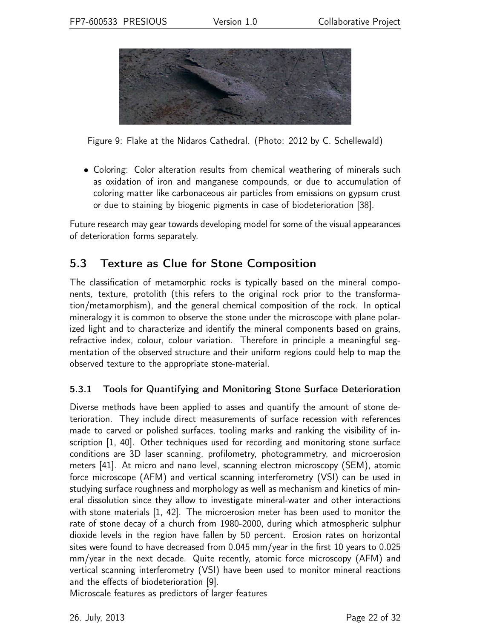

<span id="page-21-2"></span>Figure 9: Flake at the Nidaros Cathedral. (Photo: 2012 by C. Schellewald)

• Coloring: Color alteration results from chemical weathering of minerals such as oxidation of iron and manganese compounds, or due to accumulation of coloring matter like carbonaceous air particles from emissions on gypsum crust or due to staining by biogenic pigments in case of biodeterioration [38].

Future research may gear towards developing model for some of the visual appearances of deterioration forms separately.

## <span id="page-21-0"></span>5.3 Texture as Clue for Stone Composition

The classification of metamorphic rocks is typically based on the mineral components, texture, protolith (this refers to the original rock prior to the transformation/metamorphism), and the general chemical composition of the rock. In optical mineralogy it is common to observe the stone under the microscope with plane polarized light and to characterize and identify the mineral components based on grains, refractive index, colour, colour variation. Therefore in principle a meaningful segmentation of the observed structure and their uniform regions could help to map the observed texture to the appropriate stone-material.

#### <span id="page-21-1"></span>5.3.1 Tools for Quantifying and Monitoring Stone Surface Deterioration

Diverse methods have been applied to asses and quantify the amount of stone deterioration. They include direct measurements of surface recession with references made to carved or polished surfaces, tooling marks and ranking the visibility of inscription [1, 40]. Other techniques used for recording and monitoring stone surface conditions are 3D laser scanning, profilometry, photogrammetry, and microerosion meters [41]. At micro and nano level, scanning electron microscopy (SEM), atomic force microscope (AFM) and vertical scanning interferometry (VSI) can be used in studying surface roughness and morphology as well as mechanism and kinetics of mineral dissolution since they allow to investigate mineral-water and other interactions with stone materials [1, 42]. The microerosion meter has been used to monitor the rate of stone decay of a church from 1980-2000, during which atmospheric sulphur dioxide levels in the region have fallen by 50 percent. Erosion rates on horizontal sites were found to have decreased from 0.045 mm/year in the first 10 years to 0.025 mm/year in the next decade. Quite recently, atomic force microscopy (AFM) and vertical scanning interferometry (VSI) have been used to monitor mineral reactions and the effects of biodeterioration [9].

Microscale features as predictors of larger features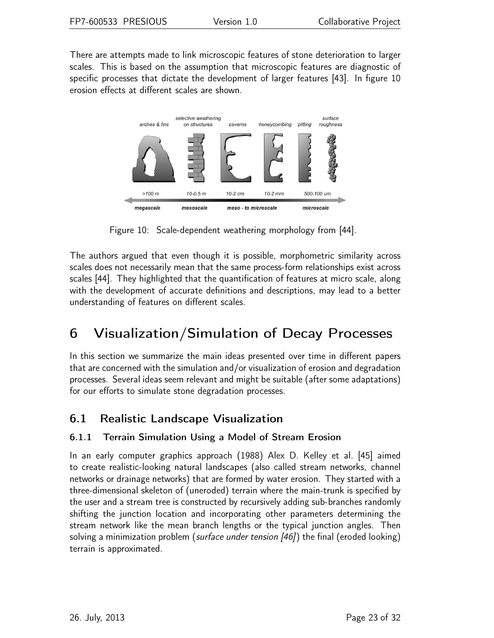There are attempts made to link microscopic features of stone deterioration to larger scales. This is based on the assumption that microscopic features are diagnostic of specific processes that dictate the development of larger features [43]. In figure [10](#page-22-3) erosion effects at different scales are shown.



<span id="page-22-3"></span>Figure 10: Scale-dependent weathering morphology from [44].

The authors argued that even though it is possible, morphometric similarity across scales does not necessarily mean that the same process-form relationships exist across scales [44]. They highlighted that the quantification of features at micro scale, along with the development of accurate definitions and descriptions, may lead to a better understanding of features on different scales.

## <span id="page-22-0"></span>6 Visualization/Simulation of Decay Processes

In this section we summarize the main ideas presented over time in different papers that are concerned with the simulation and/or visualization of erosion and degradation processes. Several ideas seem relevant and might be suitable (after some adaptations) for our efforts to simulate stone degradation processes.

## <span id="page-22-1"></span>6.1 Realistic Landscape Visualization

### <span id="page-22-2"></span>6.1.1 Terrain Simulation Using a Model of Stream Erosion

In an early computer graphics approach (1988) Alex D. Kelley et al. [45] aimed to create realistic-looking natural landscapes (also called stream networks, channel networks or drainage networks) that are formed by water erosion. They started with a three-dimensional skeleton of (uneroded) terrain where the main-trunk is specified by the user and a stream tree is constructed by recursively adding sub-branches randomly shifting the junction location and incorporating other parameters determining the stream network like the mean branch lengths or the typical junction angles. Then solving a minimization problem (surface under tension [46]) the final (eroded looking) terrain is approximated.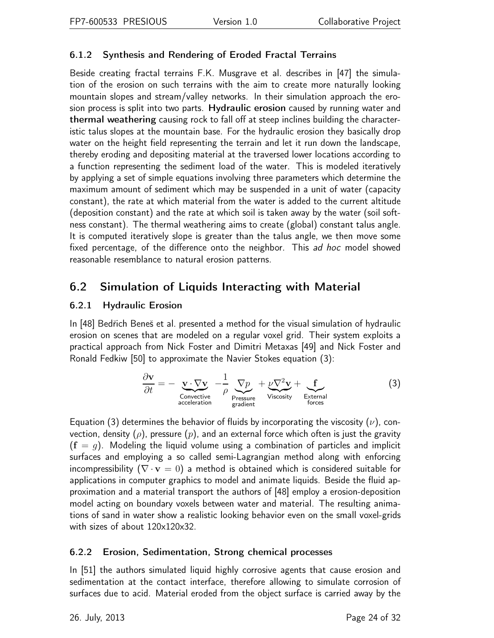### <span id="page-23-0"></span>6.1.2 Synthesis and Rendering of Eroded Fractal Terrains

Beside creating fractal terrains F.K. Musgrave et al. describes in [47] the simulation of the erosion on such terrains with the aim to create more naturally looking mountain slopes and stream/valley networks. In their simulation approach the erosion process is split into two parts. Hydraulic erosion caused by running water and thermal weathering causing rock to fall off at steep inclines building the characteristic talus slopes at the mountain base. For the hydraulic erosion they basically drop water on the height field representing the terrain and let it run down the landscape, thereby eroding and depositing material at the traversed lower locations according to a function representing the sediment load of the water. This is modeled iteratively by applying a set of simple equations involving three parameters which determine the maximum amount of sediment which may be suspended in a unit of water (capacity constant), the rate at which material from the water is added to the current altitude (deposition constant) and the rate at which soil is taken away by the water (soil softness constant). The thermal weathering aims to create (global) constant talus angle. It is computed iteratively slope is greater than the talus angle, we then move some fixed percentage, of the difference onto the neighbor. This ad hoc model showed reasonable resemblance to natural erosion patterns.

### <span id="page-23-2"></span><span id="page-23-1"></span>6.2 Simulation of Liquids Interacting with Material

#### 6.2.1 Hydraulic Erosion

In [48] Bedřich Beneš et al. presented a method for the visual simulation of hydraulic erosion on scenes that are modeled on a regular voxel grid. Their system exploits a practical approach from Nick Foster and Dimitri Metaxas [49] and Nick Foster and Ronald Fedkiw [50] to approximate the Navier Stokes equation [\(3\)](#page-23-4):

<span id="page-23-4"></span>
$$
\frac{\partial \mathbf{v}}{\partial t} = -\underbrace{\mathbf{v} \cdot \nabla \mathbf{v}}_{\text{Convective}} - \frac{1}{\rho} \underbrace{\nabla p}_{\text{Pressure}} + \underbrace{\nu \nabla^2 \mathbf{v}}_{\text{Viscosity}} + \underbrace{\mathbf{f}}_{\text{External}}
$$
 (3)

Equation [\(3\)](#page-23-4) determines the behavior of fluids by incorporating the viscosity ( $\nu$ ), convection, density ( $\rho$ ), pressure ( $p$ ), and an external force which often is just the gravity  $(f = g)$ . Modeling the liquid volume using a combination of particles and implicit surfaces and employing a so called semi-Lagrangian method along with enforcing incompressibility ( $\nabla \cdot \mathbf{v} = 0$ ) a method is obtained which is considered suitable for applications in computer graphics to model and animate liquids. Beside the fluid approximation and a material transport the authors of [48] employ a erosion-deposition model acting on boundary voxels between water and material. The resulting animations of sand in water show a realistic looking behavior even on the small voxel-grids with sizes of about 120x120x32.

#### <span id="page-23-3"></span>6.2.2 Erosion, Sedimentation, Strong chemical processes

In [51] the authors simulated liquid highly corrosive agents that cause erosion and sedimentation at the contact interface, therefore allowing to simulate corrosion of surfaces due to acid. Material eroded from the object surface is carried away by the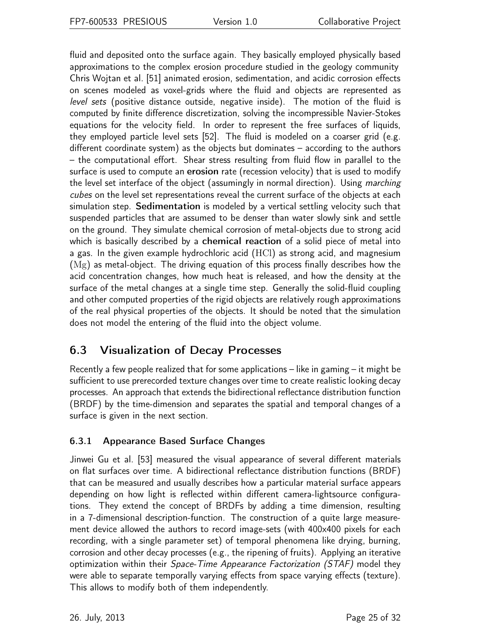fluid and deposited onto the surface again. They basically employed physically based approximations to the complex erosion procedure studied in the geology community Chris Wojtan et al. [51] animated erosion, sedimentation, and acidic corrosion effects on scenes modeled as voxel-grids where the fluid and objects are represented as level sets (positive distance outside, negative inside). The motion of the fluid is computed by finite difference discretization, solving the incompressible Navier-Stokes equations for the velocity field. In order to represent the free surfaces of liquids, they employed particle level sets [52]. The fluid is modeled on a coarser grid (e.g. different coordinate system) as the objects but dominates – according to the authors – the computational effort. Shear stress resulting from fluid flow in parallel to the surface is used to compute an **erosion** rate (recession velocity) that is used to modify the level set interface of the object (assumingly in normal direction). Using *marching* cubes on the level set representations reveal the current surface of the objects at each simulation step. Sedimentation is modeled by a vertical settling velocity such that suspended particles that are assumed to be denser than water slowly sink and settle on the ground. They simulate chemical corrosion of metal-objects due to strong acid which is basically described by a **chemical reaction** of a solid piece of metal into a gas. In the given example hydrochloric acid (HCl) as strong acid, and magnesium (Mg) as metal-object. The driving equation of this process finally describes how the acid concentration changes, how much heat is released, and how the density at the surface of the metal changes at a single time step. Generally the solid-fluid coupling and other computed properties of the rigid objects are relatively rough approximations of the real physical properties of the objects. It should be noted that the simulation does not model the entering of the fluid into the object volume.

## <span id="page-24-0"></span>6.3 Visualization of Decay Processes

Recently a few people realized that for some applications – like in gaming – it might be sufficient to use prerecorded texture changes over time to create realistic looking decay processes. An approach that extends the bidirectional reflectance distribution function (BRDF) by the time-dimension and separates the spatial and temporal changes of a surface is given in the next section.

### <span id="page-24-1"></span>6.3.1 Appearance Based Surface Changes

Jinwei Gu et al. [53] measured the visual appearance of several different materials on flat surfaces over time. A bidirectional reflectance distribution functions (BRDF) that can be measured and usually describes how a particular material surface appears depending on how light is reflected within different camera-lightsource configurations. They extend the concept of BRDFs by adding a time dimension, resulting in a 7-dimensional description-function. The construction of a quite large measurement device allowed the authors to record image-sets (with 400x400 pixels for each recording, with a single parameter set) of temporal phenomena like drying, burning, corrosion and other decay processes (e.g., the ripening of fruits). Applying an iterative optimization within their Space-Time Appearance Factorization (STAF) model they were able to separate temporally varying effects from space varying effects (texture). This allows to modify both of them independently.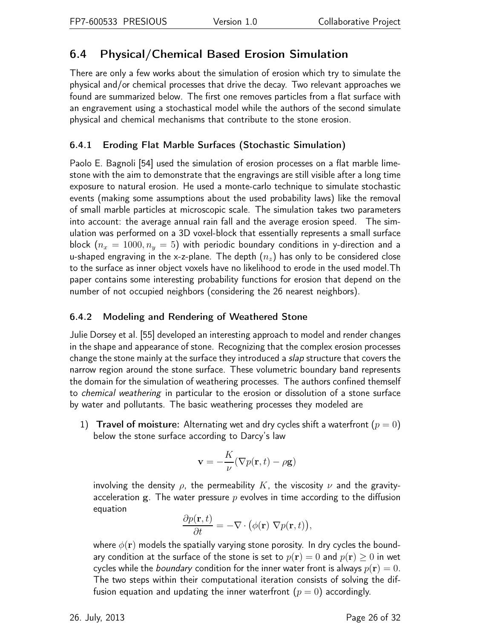## <span id="page-25-0"></span>6.4 Physical/Chemical Based Erosion Simulation

There are only a few works about the simulation of erosion which try to simulate the physical and/or chemical processes that drive the decay. Two relevant approaches we found are summarized below. The first one removes particles from a flat surface with an engravement using a stochastical model while the authors of the second simulate physical and chemical mechanisms that contribute to the stone erosion.

### <span id="page-25-1"></span>6.4.1 Eroding Flat Marble Surfaces (Stochastic Simulation)

Paolo E. Bagnoli [54] used the simulation of erosion processes on a flat marble limestone with the aim to demonstrate that the engravings are still visible after a long time exposure to natural erosion. He used a monte-carlo technique to simulate stochastic events (making some assumptions about the used probability laws) like the removal of small marble particles at microscopic scale. The simulation takes two parameters into account: the average annual rain fall and the average erosion speed. The simulation was performed on a 3D voxel-block that essentially represents a small surface block  $(n_x = 1000, n_y = 5)$  with periodic boundary conditions in y-direction and a u-shaped engraving in the x-z-plane. The depth  $(n_z)$  has only to be considered close to the surface as inner object voxels have no likelihood to erode in the used model.Th paper contains some interesting probability functions for erosion that depend on the number of not occupied neighbors (considering the 26 nearest neighbors).

### <span id="page-25-2"></span>6.4.2 Modeling and Rendering of Weathered Stone

Julie Dorsey et al. [55] developed an interesting approach to model and render changes in the shape and appearance of stone. Recognizing that the complex erosion processes change the stone mainly at the surface they introduced a slap structure that covers the narrow region around the stone surface. These volumetric boundary band represents the domain for the simulation of weathering processes. The authors confined themself to chemical weathering in particular to the erosion or dissolution of a stone surface by water and pollutants. The basic weathering processes they modeled are

1) Travel of moisture: Alternating wet and dry cycles shift a waterfront  $(p = 0)$ below the stone surface according to Darcy's law

$$
\mathbf{v}=-\frac{K}{\nu}(\nabla p(\mathbf{r},t)-\rho \mathbf{g})
$$

involving the density  $\rho$ , the permeability K, the viscosity  $\nu$  and the gravityacceleration g. The water pressure  $p$  evolves in time according to the diffusion equation

$$
\frac{\partial p(\mathbf{r},t)}{\partial t} = -\nabla \cdot (\phi(\mathbf{r}) \nabla p(\mathbf{r},t)),
$$

where  $\phi(\mathbf{r})$  models the spatially varying stone porosity. In dry cycles the boundary condition at the surface of the stone is set to  $p(\mathbf{r}) = 0$  and  $p(\mathbf{r}) \geq 0$  in wet cycles while the *boundary* condition for the inner water front is always  $p(\mathbf{r}) = 0$ . The two steps within their computational iteration consists of solving the diffusion equation and updating the inner waterfront  $(p = 0)$  accordingly.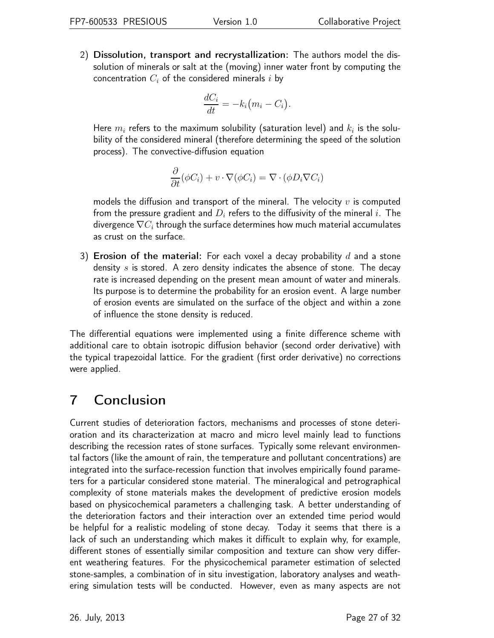2) Dissolution, transport and recrystallization: The authors model the dissolution of minerals or salt at the (moving) inner water front by computing the concentration  $C_i$  of the considered minerals i by

$$
\frac{dC_i}{dt} = -k_i \big(m_i - C_i\big).
$$

Here  $m_i$  refers to the maximum solubility (saturation level) and  $k_i$  is the solubility of the considered mineral (therefore determining the speed of the solution process). The convective-diffusion equation

$$
\frac{\partial}{\partial t}(\phi C_i) + v \cdot \nabla(\phi C_i) = \nabla \cdot (\phi D_i \nabla C_i)
$$

models the diffusion and transport of the mineral. The velocity  $v$  is computed from the pressure gradient and  $D_i$  refers to the diffusivity of the mineral i. The divergence  $\nabla C_i$  through the surface determines how much material accumulates as crust on the surface.

3) Erosion of the material: For each voxel a decay probability  $d$  and a stone density s is stored. A zero density indicates the absence of stone. The decay rate is increased depending on the present mean amount of water and minerals. Its purpose is to determine the probability for an erosion event. A large number of erosion events are simulated on the surface of the object and within a zone of influence the stone density is reduced.

The differential equations were implemented using a finite difference scheme with additional care to obtain isotropic diffusion behavior (second order derivative) with the typical trapezoidal lattice. For the gradient (first order derivative) no corrections were applied.

## <span id="page-26-0"></span>7 Conclusion

Current studies of deterioration factors, mechanisms and processes of stone deterioration and its characterization at macro and micro level mainly lead to functions describing the recession rates of stone surfaces. Typically some relevant environmental factors (like the amount of rain, the temperature and pollutant concentrations) are integrated into the surface-recession function that involves empirically found parameters for a particular considered stone material. The mineralogical and petrographical complexity of stone materials makes the development of predictive erosion models based on physicochemical parameters a challenging task. A better understanding of the deterioration factors and their interaction over an extended time period would be helpful for a realistic modeling of stone decay. Today it seems that there is a lack of such an understanding which makes it difficult to explain why, for example, different stones of essentially similar composition and texture can show very different weathering features. For the physicochemical parameter estimation of selected stone-samples, a combination of in situ investigation, laboratory analyses and weathering simulation tests will be conducted. However, even as many aspects are not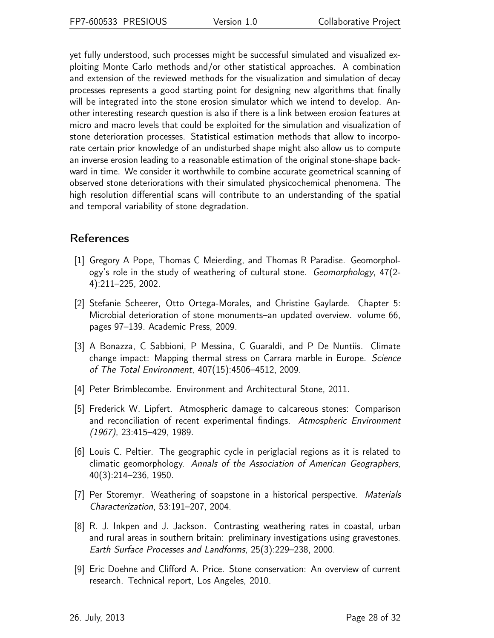yet fully understood, such processes might be successful simulated and visualized exploiting Monte Carlo methods and/or other statistical approaches. A combination and extension of the reviewed methods for the visualization and simulation of decay processes represents a good starting point for designing new algorithms that finally will be integrated into the stone erosion simulator which we intend to develop. Another interesting research question is also if there is a link between erosion features at micro and macro levels that could be exploited for the simulation and visualization of stone deterioration processes. Statistical estimation methods that allow to incorporate certain prior knowledge of an undisturbed shape might also allow us to compute an inverse erosion leading to a reasonable estimation of the original stone-shape backward in time. We consider it worthwhile to combine accurate geometrical scanning of observed stone deteriorations with their simulated physicochemical phenomena. The high resolution differential scans will contribute to an understanding of the spatial and temporal variability of stone degradation.

### References

- [1] Gregory A Pope, Thomas C Meierding, and Thomas R Paradise. Geomorphology's role in the study of weathering of cultural stone. Geomorphology, 47(2- 4):211–225, 2002.
- [2] Stefanie Scheerer, Otto Ortega-Morales, and Christine Gaylarde. Chapter 5: Microbial deterioration of stone monuments–an updated overview. volume 66, pages 97–139. Academic Press, 2009.
- [3] A Bonazza, C Sabbioni, P Messina, C Guaraldi, and P De Nuntiis. Climate change impact: Mapping thermal stress on Carrara marble in Europe. Science of The Total Environment, 407(15):4506–4512, 2009.
- [4] Peter Brimblecombe. Environment and Architectural Stone, 2011.
- [5] Frederick W. Lipfert. Atmospheric damage to calcareous stones: Comparison and reconciliation of recent experimental findings. Atmospheric Environment (1967), 23:415–429, 1989.
- [6] Louis C. Peltier. The geographic cycle in periglacial regions as it is related to climatic geomorphology. Annals of the Association of American Geographers, 40(3):214–236, 1950.
- [7] Per Storemyr. Weathering of soapstone in a historical perspective. *Materials* Characterization, 53:191–207, 2004.
- [8] R. J. Inkpen and J. Jackson. Contrasting weathering rates in coastal, urban and rural areas in southern britain: preliminary investigations using gravestones. Earth Surface Processes and Landforms, 25(3):229–238, 2000.
- [9] Eric Doehne and Clifford A. Price. Stone conservation: An overview of current research. Technical report, Los Angeles, 2010.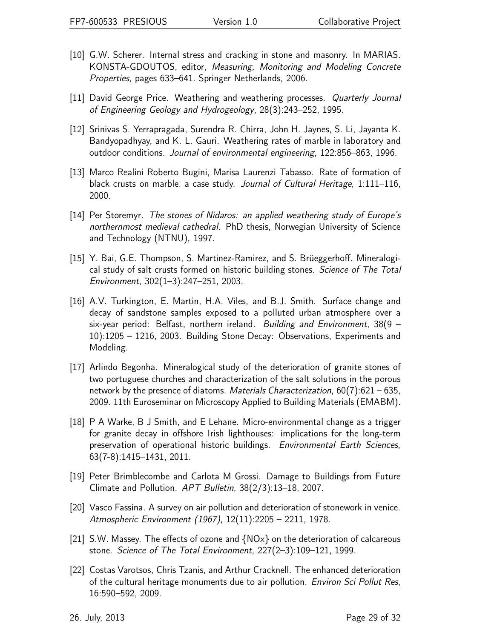- [10] G.W. Scherer. Internal stress and cracking in stone and masonry. In MARIAS. KONSTA-GDOUTOS, editor, Measuring, Monitoring and Modeling Concrete Properties, pages 633–641. Springer Netherlands, 2006.
- [11] David George Price. Weathering and weathering processes. Quarterly Journal of Engineering Geology and Hydrogeology, 28(3):243–252, 1995.
- [12] Srinivas S. Yerrapragada, Surendra R. Chirra, John H. Jaynes, S. Li, Jayanta K. Bandyopadhyay, and K. L. Gauri. Weathering rates of marble in laboratory and outdoor conditions. Journal of environmental engineering, 122:856–863, 1996.
- [13] Marco Realini Roberto Bugini, Marisa Laurenzi Tabasso. Rate of formation of black crusts on marble. a case study. Journal of Cultural Heritage, 1:111–116, 2000.
- [14] Per Storemyr. The stones of Nidaros: an applied weathering study of Europe's northernmost medieval cathedral. PhD thesis, Norwegian University of Science and Technology (NTNU), 1997.
- [15] Y. Bai, G.E. Thompson, S. Martinez-Ramirez, and S. Brüeggerhoff. Mineralogical study of salt crusts formed on historic building stones. Science of The Total Environment, 302(1–3):247–251, 2003.
- [16] A.V. Turkington, E. Martin, H.A. Viles, and B.J. Smith. Surface change and decay of sandstone samples exposed to a polluted urban atmosphere over a six-year period: Belfast, northern ireland. Building and Environment, 38(9 – 10):1205 – 1216, 2003. Building Stone Decay: Observations, Experiments and Modeling.
- [17] Arlindo Begonha. Mineralogical study of the deterioration of granite stones of two portuguese churches and characterization of the salt solutions in the porous network by the presence of diatoms. Materials Characterization,  $60(7):621-635$ , 2009. 11th Euroseminar on Microscopy Applied to Building Materials (EMABM).
- [18] P A Warke, B J Smith, and E Lehane. Micro-environmental change as a trigger for granite decay in offshore Irish lighthouses: implications for the long-term preservation of operational historic buildings. Environmental Earth Sciences, 63(7-8):1415–1431, 2011.
- [19] Peter Brimblecombe and Carlota M Grossi. Damage to Buildings from Future Climate and Pollution. APT Bulletin, 38(2/3):13–18, 2007.
- [20] Vasco Fassina. A survey on air pollution and deterioration of stonework in venice. Atmospheric Environment (1967), 12(11):2205 – 2211, 1978.
- [21] S.W. Massey. The effects of ozone and  $\{NOX\}$  on the deterioration of calcareous stone. Science of The Total Environment, 227(2–3):109–121, 1999.
- [22] Costas Varotsos, Chris Tzanis, and Arthur Cracknell. The enhanced deterioration of the cultural heritage monuments due to air pollution. Environ Sci Pollut Res, 16:590–592, 2009.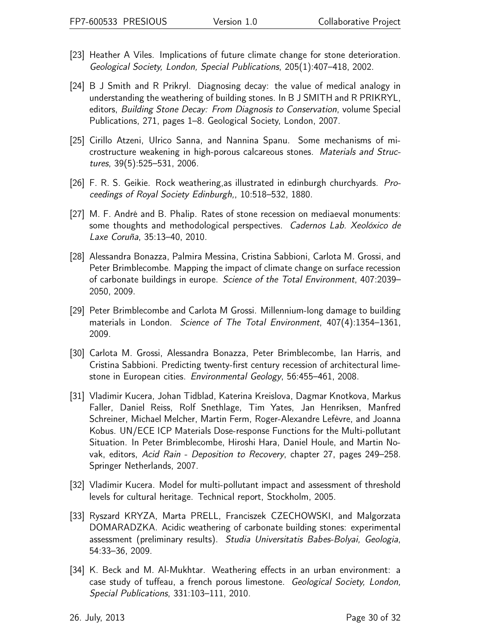- [23] Heather A Viles. Implications of future climate change for stone deterioration. Geological Society, London, Special Publications, 205(1):407–418, 2002.
- [24] B J Smith and R Prikryl. Diagnosing decay: the value of medical analogy in understanding the weathering of building stones. In B J SMITH and R PRIKRYL, editors, Building Stone Decay: From Diagnosis to Conservation, volume Special Publications, 271, pages 1–8. Geological Society, London, 2007.
- [25] Cirillo Atzeni, Ulrico Sanna, and Nannina Spanu. Some mechanisms of microstructure weakening in high-porous calcareous stones. Materials and Structures, 39(5):525–531, 2006.
- [26] F. R. S. Geikie. Rock weathering,as illustrated in edinburgh churchyards. Proceedings of Royal Society Edinburgh,, 10:518–532, 1880.
- [27] M. F. André and B. Phalip. Rates of stone recession on mediaeval monuments: some thoughts and methodological perspectives. Cadernos Lab. Xeolóxico de Laxe Coruña, 35:13–40, 2010.
- [28] Alessandra Bonazza, Palmira Messina, Cristina Sabbioni, Carlota M. Grossi, and Peter Brimblecombe. Mapping the impact of climate change on surface recession of carbonate buildings in europe. Science of the Total Environment, 407:2039– 2050, 2009.
- [29] Peter Brimblecombe and Carlota M Grossi. Millennium-long damage to building materials in London. Science of The Total Environment, 407(4):1354–1361, 2009.
- [30] Carlota M. Grossi, Alessandra Bonazza, Peter Brimblecombe, Ian Harris, and Cristina Sabbioni. Predicting twenty-first century recession of architectural limestone in European cities. Environmental Geology, 56:455–461, 2008.
- [31] Vladimir Kucera, Johan Tidblad, Katerina Kreislova, Dagmar Knotkova, Markus Faller, Daniel Reiss, Rolf Snethlage, Tim Yates, Jan Henriksen, Manfred Schreiner, Michael Melcher, Martin Ferm, Roger-Alexandre Lefèvre, and Joanna Kobus. UN/ECE ICP Materials Dose-response Functions for the Multi-pollutant Situation. In Peter Brimblecombe, Hiroshi Hara, Daniel Houle, and Martin Novak, editors, Acid Rain - Deposition to Recovery, chapter 27, pages 249–258. Springer Netherlands, 2007.
- [32] Vladimir Kucera. Model for multi-pollutant impact and assessment of threshold levels for cultural heritage. Technical report, Stockholm, 2005.
- [33] Ryszard KRYZA, Marta PRELL, Franciszek CZECHOWSKI, and Malgorzata DOMARADZKA. Acidic weathering of carbonate building stones: experimental assessment (preliminary results). Studia Universitatis Babes-Bolyai, Geologia, 54:33–36, 2009.
- [34] K. Beck and M. Al-Mukhtar. Weathering effects in an urban environment: a case study of tuffeau, a french porous limestone. Geological Society, London, Special Publications, 331:103–111, 2010.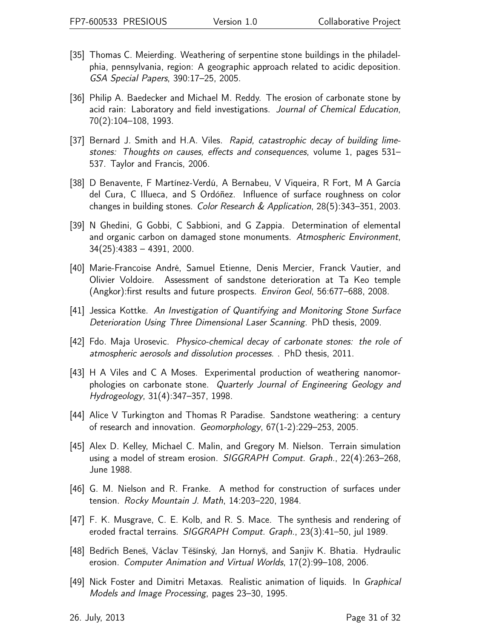- [35] Thomas C. Meierding. Weathering of serpentine stone buildings in the philadelphia, pennsylvania, region: A geographic approach related to acidic deposition. GSA Special Papers, 390:17–25, 2005.
- [36] Philip A. Baedecker and Michael M. Reddy. The erosion of carbonate stone by acid rain: Laboratory and field investigations. Journal of Chemical Education, 70(2):104–108, 1993.
- [37] Bernard J. Smith and H.A. Viles. Rapid, catastrophic decay of building limestones: Thoughts on causes, effects and consequences, volume 1, pages 531– 537. Taylor and Francis, 2006.
- [38] D Benavente, F Martínez-Verdú, A Bernabeu, V Viqueira, R Fort, M A García del Cura, C Illueca, and S Ordóñez. Influence of surface roughness on color changes in building stones. Color Research & Application, 28(5):343–351, 2003.
- [39] N Ghedini, G Gobbi, C Sabbioni, and G Zappia. Determination of elemental and organic carbon on damaged stone monuments. Atmospheric Environment, 34(25):4383 – 4391, 2000.
- [40] Marie-Francoise André, Samuel Etienne, Denis Mercier, Franck Vautier, and Olivier Voldoire. Assessment of sandstone deterioration at Ta Keo temple (Angkor):first results and future prospects. Environ Geol, 56:677–688, 2008.
- [41] Jessica Kottke. An Investigation of Quantifying and Monitoring Stone Surface Deterioration Using Three Dimensional Laser Scanning. PhD thesis, 2009.
- [42] Fdo. Maja Urosevic. Physico-chemical decay of carbonate stones: the role of atmospheric aerosols and dissolution processes. . PhD thesis, 2011.
- [43] H A Viles and C A Moses. Experimental production of weathering nanomorphologies on carbonate stone. Quarterly Journal of Engineering Geology and Hydrogeology, 31(4):347–357, 1998.
- [44] Alice V Turkington and Thomas R Paradise. Sandstone weathering: a century of research and innovation. Geomorphology, 67(1-2):229–253, 2005.
- [45] Alex D. Kelley, Michael C. Malin, and Gregory M. Nielson. Terrain simulation using a model of stream erosion. SIGGRAPH Comput. Graph., 22(4):263–268, June 1988.
- [46] G. M. Nielson and R. Franke. A method for construction of surfaces under tension. Rocky Mountain J. Math, 14:203–220, 1984.
- [47] F. K. Musgrave, C. E. Kolb, and R. S. Mace. The synthesis and rendering of eroded fractal terrains. SIGGRAPH Comput. Graph., 23(3):41–50, jul 1989.
- [48] Bedřich Beneš, Václav Těšínský, Jan Hornyš, and Sanjiv K. Bhatia. Hydraulic erosion. Computer Animation and Virtual Worlds, 17(2):99–108, 2006.
- [49] Nick Foster and Dimitri Metaxas. Realistic animation of liquids. In Graphical Models and Image Processing, pages 23–30, 1995.

26. July, 2013 Page 31 of 32